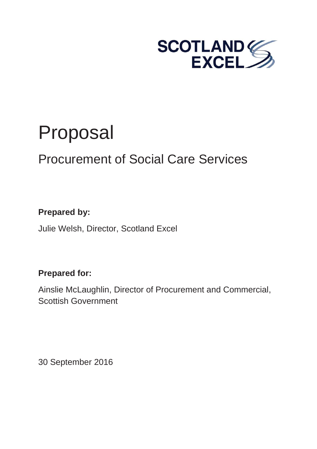

# Proposal

# Procurement of Social Care Services

## **Prepared by:**

Julie Welsh, Director, Scotland Excel

### **Prepared for:**

Ainslie McLaughlin, Director of Procurement and Commercial, Scottish Government

30 September 2016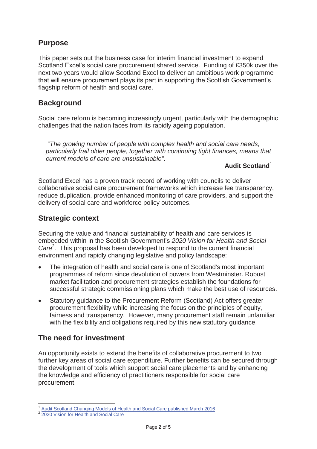#### **Purpose**

This paper sets out the business case for interim financial investment to expand Scotland Excel's social care procurement shared service. Funding of £350k over the next two years would allow Scotland Excel to deliver an ambitious work programme that will ensure procurement plays its part in supporting the Scottish Government's flagship reform of health and social care.

#### **Background**

Social care reform is becoming increasingly urgent, particularly with the demographic challenges that the nation faces from its rapidly ageing population.

"*The growing number of people with complex health and social care needs, particularly frail older people, together with continuing tight finances, means that current models of care are unsustainable"*.

#### **Audit Scotland**<sup>1</sup>

Scotland Excel has a proven track record of working with councils to deliver collaborative social care procurement frameworks which increase fee transparency, reduce duplication, provide enhanced monitoring of care providers, and support the delivery of social care and workforce policy outcomes.

#### **Strategic context**

Securing the value and financial sustainability of health and care services is embedded within in the Scottish Government's *2020 Vision for Health and Social*  Care<sup>2</sup>. This proposal has been developed to respond to the current financial environment and rapidly changing legislative and policy landscape:

- The integration of health and social care is one of Scotland's most important programmes of reform since devolution of powers from Westminster. Robust market facilitation and procurement strategies establish the foundations for successful strategic commissioning plans which make the best use of resources.
- Statutory guidance to the Procurement Reform (Scotland) Act offers greater procurement flexibility while increasing the focus on the principles of equity, fairness and transparency. However, many procurement staff remain unfamiliar with the flexibility and obligations required by this new statutory guidance.

#### **The need for investment**

An opportunity exists to extend the benefits of collaborative procurement to two further key areas of social care expenditure. Further benefits can be secured through the development of tools which support social care placements and by enhancing the knowledge and efficiency of practitioners responsible for social care procurement.

<sup>-</sup><sup>1</sup> Audit Scotland Changing Models of Health and Social Care published March 2016<br><sup>2</sup> 2020 Vision for Health and Social Care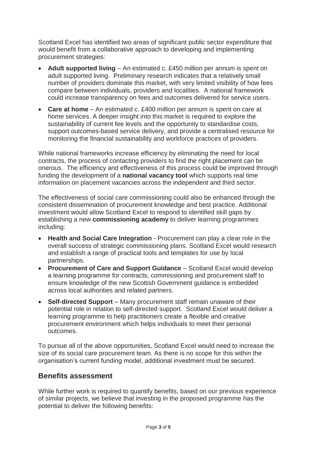Scotland Excel has identified two areas of significant public sector expenditure that would benefit from a collaborative approach to developing and implementing procurement strategies:

- **Adult supported living** An estimated c. £450 million per annum is spent on adult supported living. Preliminary research indicates that a relatively small number of providers dominate this market, with very limited visibility of how fees compare between individuals, providers and localities. A national framework could increase transparency on fees and outcomes delivered for service users.
- **Care at home** An estimated c. £400 million per annum is spent on care at home services. A deeper insight into this market is required to explore the sustainability of current fee levels and the opportunity to standardise costs, support outcomes-based service delivery, and provide a centralised resource for monitoring the financial sustainability and workforce practices of providers.

While national frameworks increase efficiency by eliminating the need for local contracts, the process of contacting providers to find the right placement can be onerous. The efficiency and effectiveness of this process could be improved through funding the development of a **national vacancy tool** which supports real time information on placement vacancies across the independent and third sector.

The effectiveness of social care commissioning could also be enhanced through the consistent dissemination of procurement knowledge and best practice. Additional investment would allow Scotland Excel to respond to identified skill gaps by establishing a new **commissioning academy** to deliver learning programmes including:

- **Health and Social Care Integration** Procurement can play a clear role in the overall success of strategic commissioning plans. Scotland Excel would research and establish a range of practical tools and templates for use by local partnerships.
- **Procurement of Care and Support Guidance** Scotland Excel would develop a learning programme for contracts, commissioning and procurement staff to ensure knowledge of the new Scottish Government guidance is embedded across local authorities and related partners.
- Self-directed Support Many procurement staff remain unaware of their potential role in relation to self-directed support. Scotland Excel would deliver a learning programme to help practitioners create a flexible and creative procurement environment which helps individuals to meet their personal outcomes.

To pursue all of the above opportunities, Scotland Excel would need to increase the size of its social care procurement team. As there is no scope for this within the organisation's current funding model, additional investment must be secured.

#### **Benefits assessment**

While further work is required to quantify benefits, based on our previous experience of similar projects, we believe that investing in the proposed programme has the potential to deliver the following benefits: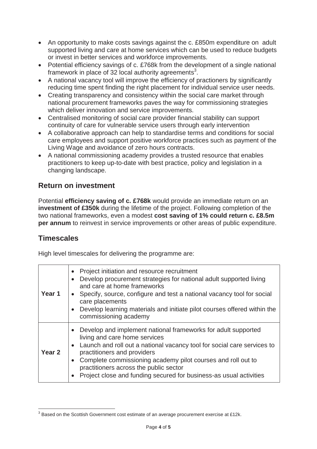- An opportunity to make costs savings against the c. £850m expenditure on adult supported living and care at home services which can be used to reduce budgets or invest in better services and workforce improvements.
- Potential efficiency savings of c. £768k from the development of a single national framework in place of 32 local authority agreements<sup>3</sup>.
- A national vacancy tool will improve the efficiency of practioners by significantly reducing time spent finding the right placement for individual service user needs.
- Creating transparency and consistency within the social care market through national procurement frameworks paves the way for commissioning strategies which deliver innovation and service improvements.
- Centralised monitoring of social care provider financial stability can support continuity of care for vulnerable service users through early intervention
- A collaborative approach can help to standardise terms and conditions for social care employees and support positive workforce practices such as payment of the Living Wage and avoidance of zero hours contracts.
- A national commissioning academy provides a trusted resource that enables practitioners to keep up-to-date with best practice, policy and legislation in a changing landscape.

#### **Return on investment**

Potential **efficiency saving of c. £768k** would provide an immediate return on an **investment of £350k** during the lifetime of the project. Following completion of the two national frameworks, even a modest **cost saving of 1% could return c. £8.5m per annum** to reinvest in service improvements or other areas of public expenditure.

#### **Timescales**

 $\overline{\phantom{a}}$ 

High level timescales for delivering the programme are:

| Year 1            | Project initiation and resource recruitment<br>Develop procurement strategies for national adult supported living<br>and care at home frameworks<br>• Specify, source, configure and test a national vacancy tool for social<br>care placements<br>Develop learning materials and initiate pilot courses offered within the<br>commissioning academy                                                  |
|-------------------|-------------------------------------------------------------------------------------------------------------------------------------------------------------------------------------------------------------------------------------------------------------------------------------------------------------------------------------------------------------------------------------------------------|
| Year <sub>2</sub> | Develop and implement national frameworks for adult supported<br>living and care home services<br>Launch and roll out a national vacancy tool for social care services to<br>practitioners and providers<br>Complete commissioning academy pilot courses and roll out to<br>$\bullet$<br>practitioners across the public sector<br>Project close and funding secured for business-as usual activities |

 $3$  Based on the Scottish Government cost estimate of an average procurement exercise at £12k.